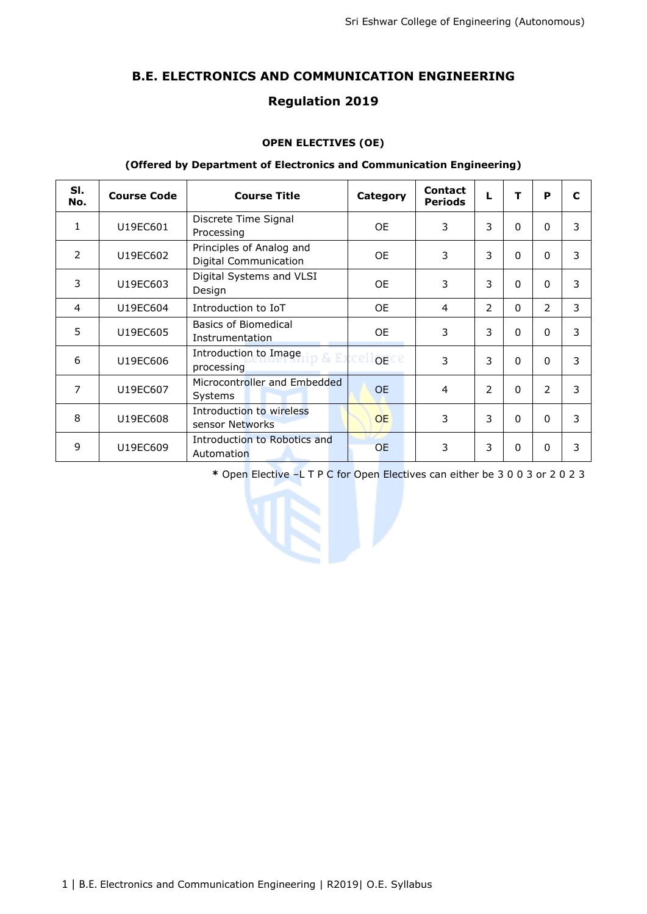# **B.E. ELECTRONICS AND COMMUNICATION ENGINEERING**

# **Regulation 2019**

## **OPEN ELECTIVES (OE)**

### **(Offered by Department of Electronics and Communication Engineering)**

| SI.<br>No.    | <b>Course Code</b> | <b>Course Title</b>                                      | Category                       | <b>Contact</b><br><b>Periods</b> | L             | т        | P              | C |
|---------------|--------------------|----------------------------------------------------------|--------------------------------|----------------------------------|---------------|----------|----------------|---|
| 1             | U19EC601           | Discrete Time Signal<br>Processing                       | 0E                             | 3                                | 3             | 0        | $\Omega$       | 3 |
| $\mathcal{P}$ | U19EC602           | Principles of Analog and<br><b>Digital Communication</b> | <b>OE</b>                      | 3                                | 3             | $\Omega$ | $\Omega$       | 3 |
| 3             | U19EC603           | Digital Systems and VLSI<br>Design                       | <b>OE</b>                      | 3                                | 3             | $\Omega$ | $\Omega$       | 3 |
| 4             | U19EC604           | Introduction to IoT                                      | 0E                             | $\overline{4}$                   | $\mathcal{P}$ | 0        | $\overline{2}$ | 3 |
| 5             | U19EC605           | Basics of Biomedical<br>Instrumentation                  | 0E                             | 3                                | 3             | O        | $\Omega$       | 3 |
| 6             | U19EC606           | Introduction to Image<br>processing                      | iip & Excell <sub>OB</sub> .ce | 3                                | 3             | $\Omega$ | $\Omega$       | 3 |
| 7             | U19EC607           | Microcontroller and Embedded<br>Systems                  | <b>OE</b>                      | $\overline{4}$                   | 2             | 0        | 2              | 3 |
| 8             | U19EC608           | Introduction to wireless<br>sensor Networks              | <b>OE</b>                      | 3                                | 3             | $\Omega$ | $\Omega$       | 3 |
| 9             | U19EC609           | Introduction to Robotics and<br>Automation               | <b>OE</b>                      | 3                                | 3             | 0        | $\Omega$       | 3 |

**\*** Open Elective –L T P C for Open Electives can either be 3 0 0 3 or 2 0 2 3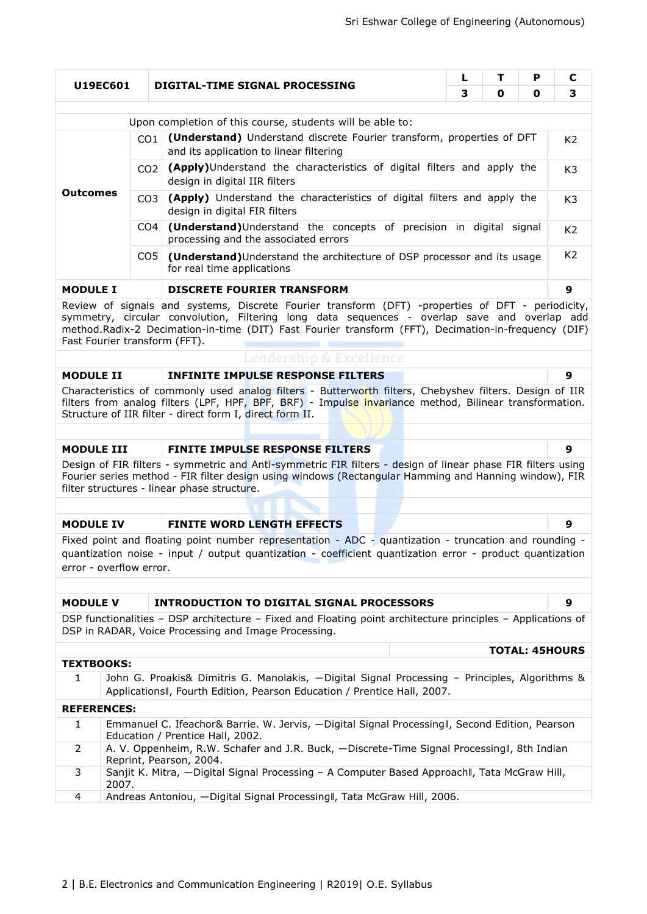| P<br>L<br>т<br>U19EC601<br>DIGITAL-TIME SIGNAL PROCESSING                                                                                                                                                                                                                                                                                      |                                   |                                                                                                                                                                                                                   |   |   |   |                       |  |  |
|------------------------------------------------------------------------------------------------------------------------------------------------------------------------------------------------------------------------------------------------------------------------------------------------------------------------------------------------|-----------------------------------|-------------------------------------------------------------------------------------------------------------------------------------------------------------------------------------------------------------------|---|---|---|-----------------------|--|--|
|                                                                                                                                                                                                                                                                                                                                                |                                   |                                                                                                                                                                                                                   | 3 | 0 | 0 | 3                     |  |  |
|                                                                                                                                                                                                                                                                                                                                                |                                   | Upon completion of this course, students will be able to:                                                                                                                                                         |   |   |   |                       |  |  |
|                                                                                                                                                                                                                                                                                                                                                | CO1                               | (Understand) Understand discrete Fourier transform, properties of DFT<br>and its application to linear filtering                                                                                                  |   |   |   | K <sub>2</sub>        |  |  |
|                                                                                                                                                                                                                                                                                                                                                | CO <sub>2</sub>                   | (Apply)Understand the characteristics of digital filters and apply the<br>design in digital IIR filters                                                                                                           |   |   |   |                       |  |  |
| Outcomes                                                                                                                                                                                                                                                                                                                                       | CO <sub>3</sub>                   | (Apply) Understand the characteristics of digital filters and apply the<br>design in digital FIR filters                                                                                                          |   |   |   | K <sub>3</sub>        |  |  |
| CO <sub>4</sub>                                                                                                                                                                                                                                                                                                                                |                                   | (Understand)Understand the concepts of precision in digital signal<br>processing and the associated errors                                                                                                        |   |   |   | K <sub>2</sub>        |  |  |
|                                                                                                                                                                                                                                                                                                                                                | CO <sub>5</sub>                   | (Understand) Understand the architecture of DSP processor and its usage<br>for real time applications                                                                                                             |   |   |   | K <sub>2</sub>        |  |  |
| <b>MODULE I</b>                                                                                                                                                                                                                                                                                                                                | <b>DISCRETE FOURIER TRANSFORM</b> |                                                                                                                                                                                                                   |   |   |   |                       |  |  |
| 9<br>Review of signals and systems, Discrete Fourier transform (DFT) -properties of DFT - periodicity,<br>symmetry, circular convolution, Filtering long data sequences - overlap save and overlap add<br>method.Radix-2 Decimation-in-time (DIT) Fast Fourier transform (FFT), Decimation-in-frequency (DIF)<br>Fast Fourier transform (FFT). |                                   |                                                                                                                                                                                                                   |   |   |   |                       |  |  |
| Leadership & Excellence                                                                                                                                                                                                                                                                                                                        |                                   |                                                                                                                                                                                                                   |   |   |   |                       |  |  |
| <b>MODULE II</b>                                                                                                                                                                                                                                                                                                                               |                                   | <b>INFINITE IMPULSE RESPONSE FILTERS</b>                                                                                                                                                                          |   |   |   | 9                     |  |  |
| Characteristics of commonly used analog filters - Butterworth filters, Chebyshev filters. Design of IIR<br>filters from analog filters (LPF, HPF, BPF, BRF) - Impulse invariance method, Bilinear transformation.<br>Structure of IIR filter - direct form I, direct form II.                                                                  |                                   |                                                                                                                                                                                                                   |   |   |   |                       |  |  |
|                                                                                                                                                                                                                                                                                                                                                |                                   |                                                                                                                                                                                                                   |   |   |   |                       |  |  |
| <b>MODULE III</b><br><b>FINITE IMPULSE RESPONSE FILTERS</b>                                                                                                                                                                                                                                                                                    |                                   |                                                                                                                                                                                                                   |   |   |   |                       |  |  |
| Design of FIR filters - symmetric and Anti-symmetric FIR filters - design of linear phase FIR filters using<br>Fourier series method - FIR filter design using windows (Rectangular Hamming and Hanning window), FIR<br>filter structures - linear phase structure.                                                                            |                                   |                                                                                                                                                                                                                   |   |   |   |                       |  |  |
|                                                                                                                                                                                                                                                                                                                                                |                                   |                                                                                                                                                                                                                   |   |   |   |                       |  |  |
| <b>MODULE IV</b>                                                                                                                                                                                                                                                                                                                               |                                   | <b>FINITE WORD LENGTH EFFECTS</b>                                                                                                                                                                                 |   |   |   | 9                     |  |  |
| error - overflow error.                                                                                                                                                                                                                                                                                                                        |                                   | Fixed point and floating point number representation - ADC - quantization - truncation and rounding -<br>quantization noise - input / output quantization - coefficient quantization error - product quantization |   |   |   |                       |  |  |
|                                                                                                                                                                                                                                                                                                                                                |                                   |                                                                                                                                                                                                                   |   |   |   |                       |  |  |
| <b>MODULE V</b>                                                                                                                                                                                                                                                                                                                                |                                   | INTRODUCTION TO DIGITAL SIGNAL PROCESSORS                                                                                                                                                                         |   |   |   | 9                     |  |  |
|                                                                                                                                                                                                                                                                                                                                                |                                   | DSP functionalities - DSP architecture - Fixed and Floating point architecture principles - Applications of<br>DSP in RADAR, Voice Processing and Image Processing.                                               |   |   |   |                       |  |  |
|                                                                                                                                                                                                                                                                                                                                                |                                   |                                                                                                                                                                                                                   |   |   |   | <b>TOTAL: 45HOURS</b> |  |  |
| <b>TEXTBOOKS:</b>                                                                                                                                                                                                                                                                                                                              |                                   |                                                                                                                                                                                                                   |   |   |   |                       |  |  |
| $\mathbf{1}$                                                                                                                                                                                                                                                                                                                                   |                                   | John G. Proakis& Dimitris G. Manolakis, -Digital Signal Processing - Principles, Algorithms &<br>ApplicationsII, Fourth Edition, Pearson Education / Prentice Hall, 2007.                                         |   |   |   |                       |  |  |
| <b>REFERENCES:</b>                                                                                                                                                                                                                                                                                                                             |                                   |                                                                                                                                                                                                                   |   |   |   |                       |  |  |
| 1                                                                                                                                                                                                                                                                                                                                              |                                   | Emmanuel C. Ifeachor& Barrie. W. Jervis, -Digital Signal Processingll, Second Edition, Pearson<br>Education / Prentice Hall, 2002.                                                                                |   |   |   |                       |  |  |
| 2                                                                                                                                                                                                                                                                                                                                              |                                   | A. V. Oppenheim, R.W. Schafer and J.R. Buck, -Discrete-Time Signal Processingll, 8th Indian<br>Reprint, Pearson, 2004.                                                                                            |   |   |   |                       |  |  |
| 3<br>2007.                                                                                                                                                                                                                                                                                                                                     |                                   | Sanjit K. Mitra, -Digital Signal Processing - A Computer Based Approachll, Tata McGraw Hill,                                                                                                                      |   |   |   |                       |  |  |
| 4                                                                                                                                                                                                                                                                                                                                              |                                   | Andreas Antoniou, -Digital Signal Processingll, Tata McGraw Hill, 2006.                                                                                                                                           |   |   |   |                       |  |  |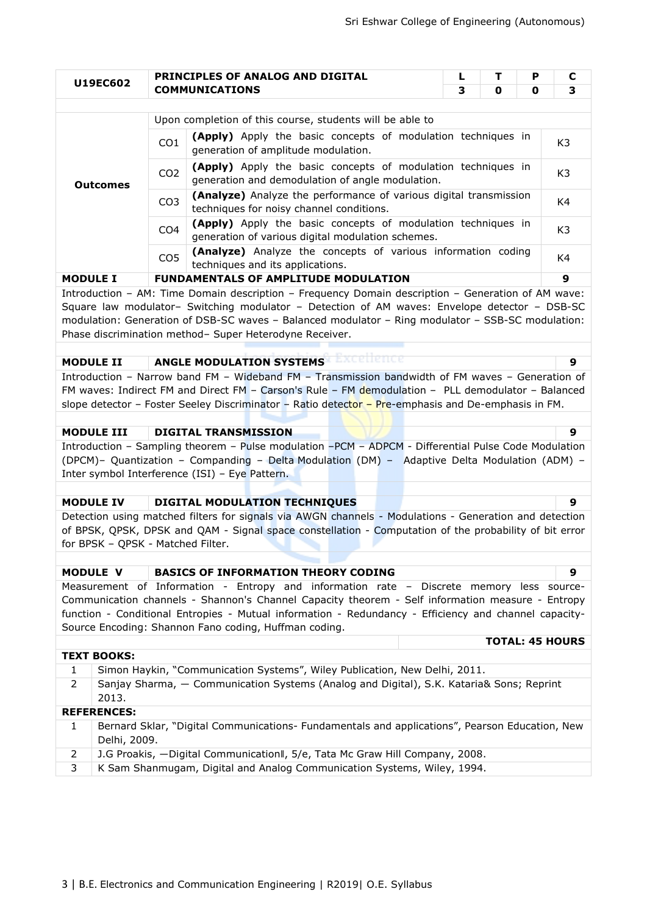| U19EC602                                                                                                                                                                                                                                                    |                 | PRINCIPLES OF ANALOG AND DIGITAL                                                                                                                                                                                                                              | L | т | P | C                      |
|-------------------------------------------------------------------------------------------------------------------------------------------------------------------------------------------------------------------------------------------------------------|-----------------|---------------------------------------------------------------------------------------------------------------------------------------------------------------------------------------------------------------------------------------------------------------|---|---|---|------------------------|
|                                                                                                                                                                                                                                                             |                 | <b>COMMUNICATIONS</b>                                                                                                                                                                                                                                         | 3 | 0 | 0 | 3                      |
|                                                                                                                                                                                                                                                             |                 | Upon completion of this course, students will be able to                                                                                                                                                                                                      |   |   |   |                        |
|                                                                                                                                                                                                                                                             |                 | (Apply) Apply the basic concepts of modulation techniques in                                                                                                                                                                                                  |   |   |   |                        |
|                                                                                                                                                                                                                                                             | CO <sub>1</sub> | generation of amplitude modulation.                                                                                                                                                                                                                           |   |   |   | K3                     |
| <b>Outcomes</b>                                                                                                                                                                                                                                             | CO <sub>2</sub> | (Apply) Apply the basic concepts of modulation techniques in<br>generation and demodulation of angle modulation.                                                                                                                                              |   |   |   | K3                     |
|                                                                                                                                                                                                                                                             | CO <sub>3</sub> | (Analyze) Analyze the performance of various digital transmission<br>techniques for noisy channel conditions.                                                                                                                                                 |   |   |   | K4                     |
| (Apply) Apply the basic concepts of modulation techniques in<br>CO <sub>4</sub><br>generation of various digital modulation schemes.<br>(Analyze) Analyze the concepts of various information coding<br>CO <sub>5</sub><br>techniques and its applications. |                 |                                                                                                                                                                                                                                                               |   |   |   |                        |
|                                                                                                                                                                                                                                                             |                 |                                                                                                                                                                                                                                                               |   |   |   |                        |
|                                                                                                                                                                                                                                                             |                 | Introduction - AM: Time Domain description - Frequency Domain description - Generation of AM wave:                                                                                                                                                            |   |   |   |                        |
|                                                                                                                                                                                                                                                             |                 | Square law modulator- Switching modulator - Detection of AM waves: Envelope detector - DSB-SC<br>modulation: Generation of DSB-SC waves - Balanced modulator - Ring modulator - SSB-SC modulation:<br>Phase discrimination method- Super Heterodyne Receiver. |   |   |   |                        |
|                                                                                                                                                                                                                                                             |                 | k Excellence<br><b>ANGLE MODULATION SYSTEMS</b>                                                                                                                                                                                                               |   |   |   |                        |
| <b>MODULE II</b>                                                                                                                                                                                                                                            |                 |                                                                                                                                                                                                                                                               |   |   |   | 9                      |
|                                                                                                                                                                                                                                                             |                 | Introduction - Narrow band FM - Wideband FM - Transmission bandwidth of FM waves - Generation of                                                                                                                                                              |   |   |   |                        |
|                                                                                                                                                                                                                                                             |                 | FM waves: Indirect FM and Direct FM - Carson's Rule - FM demodulation - PLL demodulator - Balanced                                                                                                                                                            |   |   |   |                        |
|                                                                                                                                                                                                                                                             |                 | slope detector - Foster Seeley Discriminator - Ratio detector - Pre-emphasis and De-emphasis in FM.                                                                                                                                                           |   |   |   |                        |
|                                                                                                                                                                                                                                                             |                 |                                                                                                                                                                                                                                                               |   |   |   |                        |
|                                                                                                                                                                                                                                                             |                 |                                                                                                                                                                                                                                                               |   |   |   |                        |
| <b>MODULE III</b>                                                                                                                                                                                                                                           |                 | <b>DIGITAL TRANSMISSION</b>                                                                                                                                                                                                                                   |   |   |   | 9                      |
|                                                                                                                                                                                                                                                             |                 | Introduction - Sampling theorem - Pulse modulation -PCM - ADPCM - Differential Pulse Code Modulation                                                                                                                                                          |   |   |   |                        |
|                                                                                                                                                                                                                                                             |                 | (DPCM)- Quantization - Companding - Delta Modulation (DM) - Adaptive Delta Modulation (ADM) -                                                                                                                                                                 |   |   |   |                        |
|                                                                                                                                                                                                                                                             |                 | Inter symbol Interference (ISI) - Eye Pattern.                                                                                                                                                                                                                |   |   |   |                        |
|                                                                                                                                                                                                                                                             |                 |                                                                                                                                                                                                                                                               |   |   |   |                        |
| <b>MODULE IV</b>                                                                                                                                                                                                                                            |                 | <b>DIGITAL MODULATION TECHNIQUES</b>                                                                                                                                                                                                                          |   |   |   | 9                      |
|                                                                                                                                                                                                                                                             |                 | Detection using matched filters for signals via AWGN channels - Modulations - Generation and detection                                                                                                                                                        |   |   |   |                        |
|                                                                                                                                                                                                                                                             |                 | of BPSK, QPSK, DPSK and QAM - Signal space constellation - Computation of the probability of bit error                                                                                                                                                        |   |   |   |                        |
| for BPSK - QPSK - Matched Filter.                                                                                                                                                                                                                           |                 |                                                                                                                                                                                                                                                               |   |   |   |                        |
|                                                                                                                                                                                                                                                             |                 |                                                                                                                                                                                                                                                               |   |   |   |                        |
| MODULE V                                                                                                                                                                                                                                                    |                 | <b>BASICS OF INFORMATION THEORY CODING</b>                                                                                                                                                                                                                    |   |   |   | 9                      |
|                                                                                                                                                                                                                                                             |                 | Measurement of Information - Entropy and information rate - Discrete memory less source-                                                                                                                                                                      |   |   |   |                        |
|                                                                                                                                                                                                                                                             |                 | Communication channels - Shannon's Channel Capacity theorem - Self information measure - Entropy                                                                                                                                                              |   |   |   |                        |
|                                                                                                                                                                                                                                                             |                 | function - Conditional Entropies - Mutual information - Redundancy - Efficiency and channel capacity-                                                                                                                                                         |   |   |   |                        |
|                                                                                                                                                                                                                                                             |                 | Source Encoding: Shannon Fano coding, Huffman coding.                                                                                                                                                                                                         |   |   |   |                        |
|                                                                                                                                                                                                                                                             |                 |                                                                                                                                                                                                                                                               |   |   |   |                        |
| <b>TEXT BOOKS:</b>                                                                                                                                                                                                                                          |                 |                                                                                                                                                                                                                                                               |   |   |   |                        |
| $\mathbf{1}$                                                                                                                                                                                                                                                |                 | Simon Haykin, "Communication Systems", Wiley Publication, New Delhi, 2011.                                                                                                                                                                                    |   |   |   |                        |
| $\overline{2}$<br>2013.                                                                                                                                                                                                                                     |                 | Sanjay Sharma, - Communication Systems (Analog and Digital), S.K. Kataria& Sons; Reprint                                                                                                                                                                      |   |   |   |                        |
| <b>REFERENCES:</b>                                                                                                                                                                                                                                          |                 |                                                                                                                                                                                                                                                               |   |   |   |                        |
| $\mathbf{1}$<br>Delhi, 2009.                                                                                                                                                                                                                                |                 | Bernard Sklar, "Digital Communications- Fundamentals and applications", Pearson Education, New                                                                                                                                                                |   |   |   |                        |
| $\overline{2}$                                                                                                                                                                                                                                              |                 | J.G Proakis, -Digital Communication I, 5/e, Tata Mc Graw Hill Company, 2008.                                                                                                                                                                                  |   |   |   | <b>TOTAL: 45 HOURS</b> |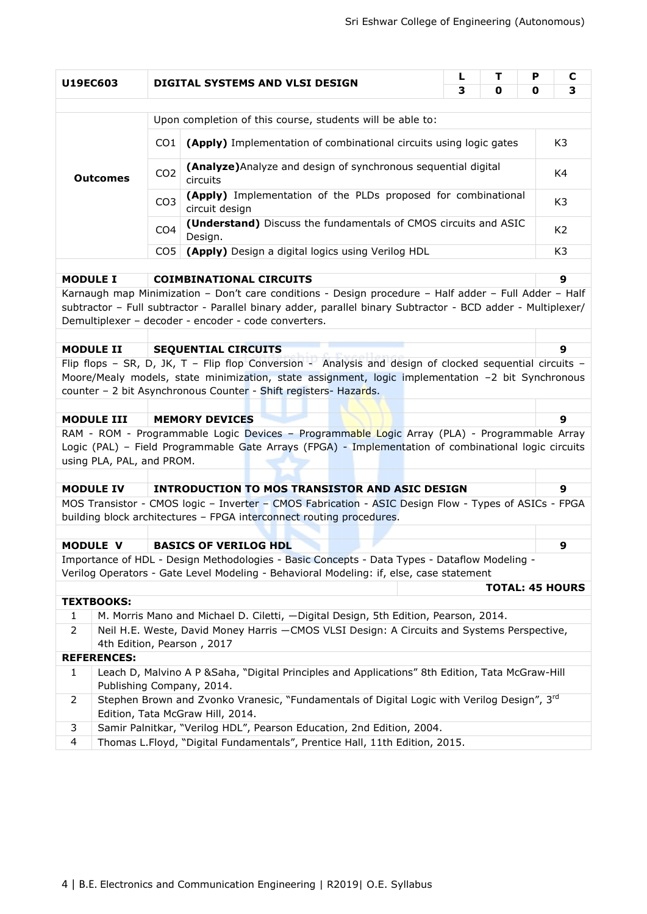|                 |                                            |                 |                                                                                                                                                                                                                                                                                  | L | т                      | P | С              |
|-----------------|--------------------------------------------|-----------------|----------------------------------------------------------------------------------------------------------------------------------------------------------------------------------------------------------------------------------------------------------------------------------|---|------------------------|---|----------------|
| <b>U19EC603</b> |                                            |                 | DIGITAL SYSTEMS AND VLSI DESIGN                                                                                                                                                                                                                                                  | 3 | 0                      | 0 | 3              |
|                 |                                            |                 |                                                                                                                                                                                                                                                                                  |   |                        |   |                |
|                 |                                            |                 | Upon completion of this course, students will be able to:                                                                                                                                                                                                                        |   |                        |   |                |
|                 |                                            | CO <sub>1</sub> | (Apply) Implementation of combinational circuits using logic gates                                                                                                                                                                                                               |   |                        |   | K <sub>3</sub> |
|                 | <b>Outcomes</b>                            | CO <sub>2</sub> | (Analyze) Analyze and design of synchronous sequential digital<br>circuits                                                                                                                                                                                                       |   |                        |   | K4             |
|                 |                                            | CO <sub>3</sub> | (Apply) Implementation of the PLDs proposed for combinational<br>circuit design                                                                                                                                                                                                  |   |                        |   | K <sub>3</sub> |
|                 |                                            | CO <sub>4</sub> | (Understand) Discuss the fundamentals of CMOS circuits and ASIC<br>Design.                                                                                                                                                                                                       |   |                        |   | K <sub>2</sub> |
|                 |                                            | CO <sub>5</sub> | (Apply) Design a digital logics using Verilog HDL                                                                                                                                                                                                                                |   |                        |   | K <sub>3</sub> |
|                 |                                            |                 |                                                                                                                                                                                                                                                                                  |   |                        |   | 9              |
| <b>MODULE I</b> |                                            |                 | <b>COIMBINATIONAL CIRCUITS</b>                                                                                                                                                                                                                                                   |   |                        |   |                |
|                 |                                            |                 | Karnaugh map Minimization - Don't care conditions - Design procedure - Half adder - Full Adder - Half<br>subtractor - Full subtractor - Parallel binary adder, parallel binary Subtractor - BCD adder - Multiplexer/<br>Demultiplexer - decoder - encoder - code converters.     |   |                        |   |                |
|                 |                                            |                 |                                                                                                                                                                                                                                                                                  |   |                        |   |                |
|                 | <b>MODULE II</b>                           |                 | <b>SEQUENTIAL CIRCUITS</b>                                                                                                                                                                                                                                                       |   |                        |   | 9              |
|                 |                                            |                 | Flip flops - SR, D, JK, T - Flip flop Conversion - Analysis and design of clocked sequential circuits -<br>Moore/Mealy models, state minimization, state assignment, logic implementation -2 bit Synchronous<br>counter - 2 bit Asynchronous Counter - Shift registers- Hazards. |   |                        |   |                |
|                 |                                            |                 |                                                                                                                                                                                                                                                                                  |   |                        |   |                |
|                 | <b>MODULE III</b><br><b>MEMORY DEVICES</b> |                 |                                                                                                                                                                                                                                                                                  |   |                        |   | 9              |
|                 | using PLA, PAL, and PROM.                  |                 | RAM - ROM - Programmable Logic Devices - Programmable Logic Array (PLA) - Programmable Array<br>Logic (PAL) - Field Programmable Gate Arrays (FPGA) - Implementation of combinational logic circuits                                                                             |   |                        |   |                |
|                 |                                            |                 |                                                                                                                                                                                                                                                                                  |   |                        |   |                |
|                 | <b>MODULE IV</b>                           |                 | <b>INTRODUCTION TO MOS TRANSISTOR AND ASIC DESIGN</b>                                                                                                                                                                                                                            |   |                        |   | 9              |
|                 |                                            |                 | MOS Transistor - CMOS logic - Inverter - CMOS Fabrication - ASIC Design Flow - Types of ASICs - FPGA<br>building block architectures - FPGA interconnect routing procedures.                                                                                                     |   |                        |   |                |
|                 |                                            |                 |                                                                                                                                                                                                                                                                                  |   |                        |   |                |
|                 | <b>MODULE V</b>                            |                 | <b>BASICS OF VERILOG HDL</b><br>Importance of HDL - Design Methodologies - Basic Concepts - Data Types - Dataflow Modeling -                                                                                                                                                     |   |                        |   | 9              |
|                 |                                            |                 | Verilog Operators - Gate Level Modeling - Behavioral Modeling: if, else, case statement                                                                                                                                                                                          |   |                        |   |                |
|                 |                                            |                 |                                                                                                                                                                                                                                                                                  |   | <b>TOTAL: 45 HOURS</b> |   |                |
|                 | <b>TEXTBOOKS:</b>                          |                 |                                                                                                                                                                                                                                                                                  |   |                        |   |                |
| 1               |                                            |                 | M. Morris Mano and Michael D. Ciletti, -Digital Design, 5th Edition, Pearson, 2014.                                                                                                                                                                                              |   |                        |   |                |
| $\overline{2}$  |                                            |                 | Neil H.E. Weste, David Money Harris - CMOS VLSI Design: A Circuits and Systems Perspective,                                                                                                                                                                                      |   |                        |   |                |
|                 |                                            |                 | 4th Edition, Pearson, 2017                                                                                                                                                                                                                                                       |   |                        |   |                |
|                 | <b>REFERENCES:</b>                         |                 |                                                                                                                                                                                                                                                                                  |   |                        |   |                |
| $\mathbf{1}$    |                                            |                 | Leach D, Malvino A P & Saha, "Digital Principles and Applications" 8th Edition, Tata McGraw-Hill<br>Publishing Company, 2014.                                                                                                                                                    |   |                        |   |                |
| 2               |                                            |                 | Stephen Brown and Zvonko Vranesic, "Fundamentals of Digital Logic with Verilog Design", 3rd                                                                                                                                                                                      |   |                        |   |                |
|                 |                                            |                 | Edition, Tata McGraw Hill, 2014.                                                                                                                                                                                                                                                 |   |                        |   |                |
| 3<br>4          |                                            |                 | Samir Palnitkar, "Verilog HDL", Pearson Education, 2nd Edition, 2004.<br>Thomas L.Floyd, "Digital Fundamentals", Prentice Hall, 11th Edition, 2015.                                                                                                                              |   |                        |   |                |
|                 |                                            |                 |                                                                                                                                                                                                                                                                                  |   |                        |   |                |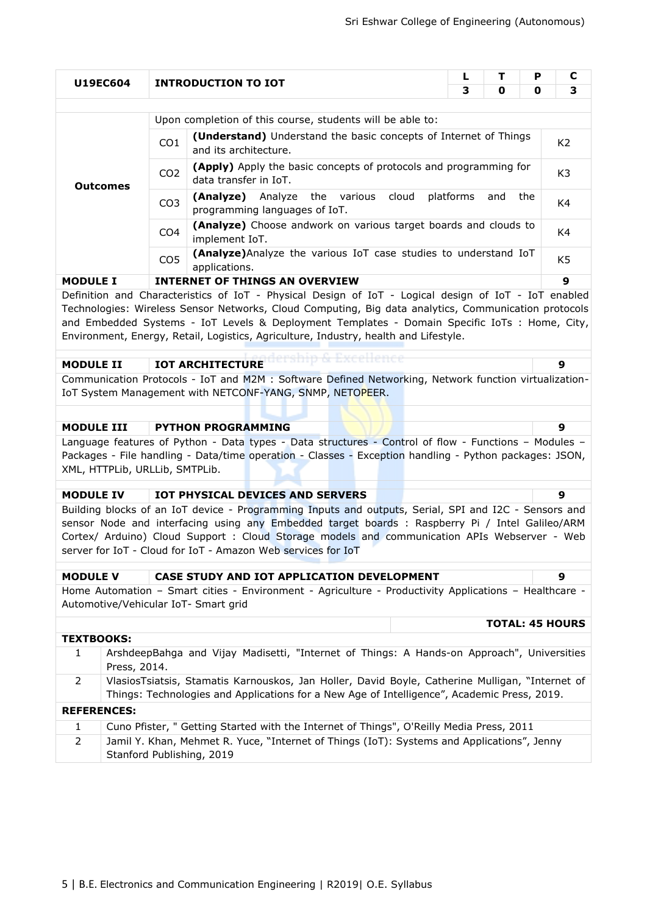| U19EC604<br>3<br>0<br>0<br>Upon completion of this course, students will be able to:<br>(Understand) Understand the basic concepts of Internet of Things<br>CO1<br>K <sub>2</sub><br>and its architecture.<br>(Apply) Apply the basic concepts of protocols and programming for<br>CO <sub>2</sub><br>K3<br>data transfer in IoT.<br><b>Outcomes</b><br>(Analyze)<br>Analyze<br>the various<br>cloud<br>platforms<br>and<br>the<br>CO <sub>3</sub><br>programming languages of IoT.<br>(Analyze) Choose andwork on various target boards and clouds to<br>CO <sub>4</sub><br>implement IoT.<br>(Analyze) Analyze the various IoT case studies to understand IoT<br>CO <sub>5</sub><br>K5<br>applications.<br><b>INTERNET OF THINGS AN OVERVIEW</b><br><b>MODULE I</b><br>Definition and Characteristics of IoT - Physical Design of IoT - Logical design of IoT - IoT enabled<br>Technologies: Wireless Sensor Networks, Cloud Computing, Big data analytics, Communication protocols<br>and Embedded Systems - IoT Levels & Deployment Templates - Domain Specific IoTs : Home, City,<br>Environment, Energy, Retail, Logistics, Agriculture, Industry, health and Lifestyle.<br><b>IOT ARCHITECTURE</b><br><b>MODULE II</b><br>9<br>IoT System Management with NETCONF-YANG, SNMP, NETOPEER.<br><b>MODULE III</b><br><b>PYTHON PROGRAMMING</b><br>9<br>Language features of Python - Data types - Data structures - Control of flow - Functions - Modules -<br>Packages - File handling - Data/time operation - Classes - Exception handling - Python packages: JSON,<br>XML, HTTPLib, URLLib, SMTPLib.<br><b>MODULE IV</b><br>IOT PHYSICAL DEVICES AND SERVERS<br>9<br>Building blocks of an IoT device - Programming Inputs and outputs, Serial, SPI and I2C - Sensors and<br>sensor Node and interfacing using any Embedded target boards : Raspberry Pi / Intel Galileo/ARM<br>Cortex/ Arduino) Cloud Support : Cloud Storage models and communication APIs Webserver - Web<br>server for IoT - Cloud for IoT - Amazon Web services for IoT |                                                                                                       |  |    | <b>INTRODUCTION TO IOT</b> | L | т | P |  | C |
|---------------------------------------------------------------------------------------------------------------------------------------------------------------------------------------------------------------------------------------------------------------------------------------------------------------------------------------------------------------------------------------------------------------------------------------------------------------------------------------------------------------------------------------------------------------------------------------------------------------------------------------------------------------------------------------------------------------------------------------------------------------------------------------------------------------------------------------------------------------------------------------------------------------------------------------------------------------------------------------------------------------------------------------------------------------------------------------------------------------------------------------------------------------------------------------------------------------------------------------------------------------------------------------------------------------------------------------------------------------------------------------------------------------------------------------------------------------------------------------------------------------------------------------------------------------------------------------------------------------------------------------------------------------------------------------------------------------------------------------------------------------------------------------------------------------------------------------------------------------------------------------------------------------------------------------------------------------------------------------------------------------------------------------------------|-------------------------------------------------------------------------------------------------------|--|----|----------------------------|---|---|---|--|---|
|                                                                                                                                                                                                                                                                                                                                                                                                                                                                                                                                                                                                                                                                                                                                                                                                                                                                                                                                                                                                                                                                                                                                                                                                                                                                                                                                                                                                                                                                                                                                                                                                                                                                                                                                                                                                                                                                                                                                                                                                                                                   |                                                                                                       |  |    |                            |   |   |   |  | 3 |
|                                                                                                                                                                                                                                                                                                                                                                                                                                                                                                                                                                                                                                                                                                                                                                                                                                                                                                                                                                                                                                                                                                                                                                                                                                                                                                                                                                                                                                                                                                                                                                                                                                                                                                                                                                                                                                                                                                                                                                                                                                                   |                                                                                                       |  |    |                            |   |   |   |  |   |
|                                                                                                                                                                                                                                                                                                                                                                                                                                                                                                                                                                                                                                                                                                                                                                                                                                                                                                                                                                                                                                                                                                                                                                                                                                                                                                                                                                                                                                                                                                                                                                                                                                                                                                                                                                                                                                                                                                                                                                                                                                                   |                                                                                                       |  |    |                            |   |   |   |  |   |
|                                                                                                                                                                                                                                                                                                                                                                                                                                                                                                                                                                                                                                                                                                                                                                                                                                                                                                                                                                                                                                                                                                                                                                                                                                                                                                                                                                                                                                                                                                                                                                                                                                                                                                                                                                                                                                                                                                                                                                                                                                                   |                                                                                                       |  |    |                            |   |   |   |  |   |
|                                                                                                                                                                                                                                                                                                                                                                                                                                                                                                                                                                                                                                                                                                                                                                                                                                                                                                                                                                                                                                                                                                                                                                                                                                                                                                                                                                                                                                                                                                                                                                                                                                                                                                                                                                                                                                                                                                                                                                                                                                                   |                                                                                                       |  |    |                            |   |   |   |  |   |
|                                                                                                                                                                                                                                                                                                                                                                                                                                                                                                                                                                                                                                                                                                                                                                                                                                                                                                                                                                                                                                                                                                                                                                                                                                                                                                                                                                                                                                                                                                                                                                                                                                                                                                                                                                                                                                                                                                                                                                                                                                                   |                                                                                                       |  | K4 |                            |   |   |   |  |   |
|                                                                                                                                                                                                                                                                                                                                                                                                                                                                                                                                                                                                                                                                                                                                                                                                                                                                                                                                                                                                                                                                                                                                                                                                                                                                                                                                                                                                                                                                                                                                                                                                                                                                                                                                                                                                                                                                                                                                                                                                                                                   |                                                                                                       |  | K4 |                            |   |   |   |  |   |
|                                                                                                                                                                                                                                                                                                                                                                                                                                                                                                                                                                                                                                                                                                                                                                                                                                                                                                                                                                                                                                                                                                                                                                                                                                                                                                                                                                                                                                                                                                                                                                                                                                                                                                                                                                                                                                                                                                                                                                                                                                                   |                                                                                                       |  |    |                            |   |   |   |  |   |
|                                                                                                                                                                                                                                                                                                                                                                                                                                                                                                                                                                                                                                                                                                                                                                                                                                                                                                                                                                                                                                                                                                                                                                                                                                                                                                                                                                                                                                                                                                                                                                                                                                                                                                                                                                                                                                                                                                                                                                                                                                                   |                                                                                                       |  |    |                            |   |   |   |  | 9 |
|                                                                                                                                                                                                                                                                                                                                                                                                                                                                                                                                                                                                                                                                                                                                                                                                                                                                                                                                                                                                                                                                                                                                                                                                                                                                                                                                                                                                                                                                                                                                                                                                                                                                                                                                                                                                                                                                                                                                                                                                                                                   |                                                                                                       |  |    |                            |   |   |   |  |   |
|                                                                                                                                                                                                                                                                                                                                                                                                                                                                                                                                                                                                                                                                                                                                                                                                                                                                                                                                                                                                                                                                                                                                                                                                                                                                                                                                                                                                                                                                                                                                                                                                                                                                                                                                                                                                                                                                                                                                                                                                                                                   |                                                                                                       |  |    |                            |   |   |   |  |   |
|                                                                                                                                                                                                                                                                                                                                                                                                                                                                                                                                                                                                                                                                                                                                                                                                                                                                                                                                                                                                                                                                                                                                                                                                                                                                                                                                                                                                                                                                                                                                                                                                                                                                                                                                                                                                                                                                                                                                                                                                                                                   | Communication Protocols - IoT and M2M : Software Defined Networking, Network function virtualization- |  |    |                            |   |   |   |  |   |
|                                                                                                                                                                                                                                                                                                                                                                                                                                                                                                                                                                                                                                                                                                                                                                                                                                                                                                                                                                                                                                                                                                                                                                                                                                                                                                                                                                                                                                                                                                                                                                                                                                                                                                                                                                                                                                                                                                                                                                                                                                                   |                                                                                                       |  |    |                            |   |   |   |  |   |
|                                                                                                                                                                                                                                                                                                                                                                                                                                                                                                                                                                                                                                                                                                                                                                                                                                                                                                                                                                                                                                                                                                                                                                                                                                                                                                                                                                                                                                                                                                                                                                                                                                                                                                                                                                                                                                                                                                                                                                                                                                                   |                                                                                                       |  |    |                            |   |   |   |  |   |
|                                                                                                                                                                                                                                                                                                                                                                                                                                                                                                                                                                                                                                                                                                                                                                                                                                                                                                                                                                                                                                                                                                                                                                                                                                                                                                                                                                                                                                                                                                                                                                                                                                                                                                                                                                                                                                                                                                                                                                                                                                                   |                                                                                                       |  |    |                            |   |   |   |  |   |
|                                                                                                                                                                                                                                                                                                                                                                                                                                                                                                                                                                                                                                                                                                                                                                                                                                                                                                                                                                                                                                                                                                                                                                                                                                                                                                                                                                                                                                                                                                                                                                                                                                                                                                                                                                                                                                                                                                                                                                                                                                                   |                                                                                                       |  |    |                            |   |   |   |  |   |
|                                                                                                                                                                                                                                                                                                                                                                                                                                                                                                                                                                                                                                                                                                                                                                                                                                                                                                                                                                                                                                                                                                                                                                                                                                                                                                                                                                                                                                                                                                                                                                                                                                                                                                                                                                                                                                                                                                                                                                                                                                                   |                                                                                                       |  |    |                            |   |   |   |  |   |
|                                                                                                                                                                                                                                                                                                                                                                                                                                                                                                                                                                                                                                                                                                                                                                                                                                                                                                                                                                                                                                                                                                                                                                                                                                                                                                                                                                                                                                                                                                                                                                                                                                                                                                                                                                                                                                                                                                                                                                                                                                                   |                                                                                                       |  |    |                            |   |   |   |  |   |
|                                                                                                                                                                                                                                                                                                                                                                                                                                                                                                                                                                                                                                                                                                                                                                                                                                                                                                                                                                                                                                                                                                                                                                                                                                                                                                                                                                                                                                                                                                                                                                                                                                                                                                                                                                                                                                                                                                                                                                                                                                                   |                                                                                                       |  |    |                            |   |   |   |  |   |
|                                                                                                                                                                                                                                                                                                                                                                                                                                                                                                                                                                                                                                                                                                                                                                                                                                                                                                                                                                                                                                                                                                                                                                                                                                                                                                                                                                                                                                                                                                                                                                                                                                                                                                                                                                                                                                                                                                                                                                                                                                                   |                                                                                                       |  |    |                            |   |   |   |  |   |
|                                                                                                                                                                                                                                                                                                                                                                                                                                                                                                                                                                                                                                                                                                                                                                                                                                                                                                                                                                                                                                                                                                                                                                                                                                                                                                                                                                                                                                                                                                                                                                                                                                                                                                                                                                                                                                                                                                                                                                                                                                                   |                                                                                                       |  |    |                            |   |   |   |  |   |
| CASE STUDY AND IOT APPLICATION DEVELOPMENT<br><b>MODULE V</b><br>9                                                                                                                                                                                                                                                                                                                                                                                                                                                                                                                                                                                                                                                                                                                                                                                                                                                                                                                                                                                                                                                                                                                                                                                                                                                                                                                                                                                                                                                                                                                                                                                                                                                                                                                                                                                                                                                                                                                                                                                |                                                                                                       |  |    |                            |   |   |   |  |   |
| Home Automation - Smart cities - Environment - Agriculture - Productivity Applications - Healthcare -<br>Automotive/Vehicular IoT- Smart grid                                                                                                                                                                                                                                                                                                                                                                                                                                                                                                                                                                                                                                                                                                                                                                                                                                                                                                                                                                                                                                                                                                                                                                                                                                                                                                                                                                                                                                                                                                                                                                                                                                                                                                                                                                                                                                                                                                     |                                                                                                       |  |    |                            |   |   |   |  |   |
| <b>TOTAL: 45 HOURS</b>                                                                                                                                                                                                                                                                                                                                                                                                                                                                                                                                                                                                                                                                                                                                                                                                                                                                                                                                                                                                                                                                                                                                                                                                                                                                                                                                                                                                                                                                                                                                                                                                                                                                                                                                                                                                                                                                                                                                                                                                                            |                                                                                                       |  |    |                            |   |   |   |  |   |
| <b>TEXTBOOKS:</b>                                                                                                                                                                                                                                                                                                                                                                                                                                                                                                                                                                                                                                                                                                                                                                                                                                                                                                                                                                                                                                                                                                                                                                                                                                                                                                                                                                                                                                                                                                                                                                                                                                                                                                                                                                                                                                                                                                                                                                                                                                 |                                                                                                       |  |    |                            |   |   |   |  |   |
| ArshdeepBahga and Vijay Madisetti, "Internet of Things: A Hands-on Approach", Universities<br>1<br>Press, 2014.                                                                                                                                                                                                                                                                                                                                                                                                                                                                                                                                                                                                                                                                                                                                                                                                                                                                                                                                                                                                                                                                                                                                                                                                                                                                                                                                                                                                                                                                                                                                                                                                                                                                                                                                                                                                                                                                                                                                   |                                                                                                       |  |    |                            |   |   |   |  |   |
| VlasiosTsiatsis, Stamatis Karnouskos, Jan Holler, David Boyle, Catherine Mulligan, "Internet of<br>2<br>Things: Technologies and Applications for a New Age of Intelligence", Academic Press, 2019.                                                                                                                                                                                                                                                                                                                                                                                                                                                                                                                                                                                                                                                                                                                                                                                                                                                                                                                                                                                                                                                                                                                                                                                                                                                                                                                                                                                                                                                                                                                                                                                                                                                                                                                                                                                                                                               |                                                                                                       |  |    |                            |   |   |   |  |   |
| <b>REFERENCES:</b>                                                                                                                                                                                                                                                                                                                                                                                                                                                                                                                                                                                                                                                                                                                                                                                                                                                                                                                                                                                                                                                                                                                                                                                                                                                                                                                                                                                                                                                                                                                                                                                                                                                                                                                                                                                                                                                                                                                                                                                                                                |                                                                                                       |  |    |                            |   |   |   |  |   |
| Cuno Pfister, " Getting Started with the Internet of Things", O'Reilly Media Press, 2011<br>1                                                                                                                                                                                                                                                                                                                                                                                                                                                                                                                                                                                                                                                                                                                                                                                                                                                                                                                                                                                                                                                                                                                                                                                                                                                                                                                                                                                                                                                                                                                                                                                                                                                                                                                                                                                                                                                                                                                                                     |                                                                                                       |  |    |                            |   |   |   |  |   |
| Jamil Y. Khan, Mehmet R. Yuce, "Internet of Things (IoT): Systems and Applications", Jenny<br>2<br>Stanford Publishing, 2019                                                                                                                                                                                                                                                                                                                                                                                                                                                                                                                                                                                                                                                                                                                                                                                                                                                                                                                                                                                                                                                                                                                                                                                                                                                                                                                                                                                                                                                                                                                                                                                                                                                                                                                                                                                                                                                                                                                      |                                                                                                       |  |    |                            |   |   |   |  |   |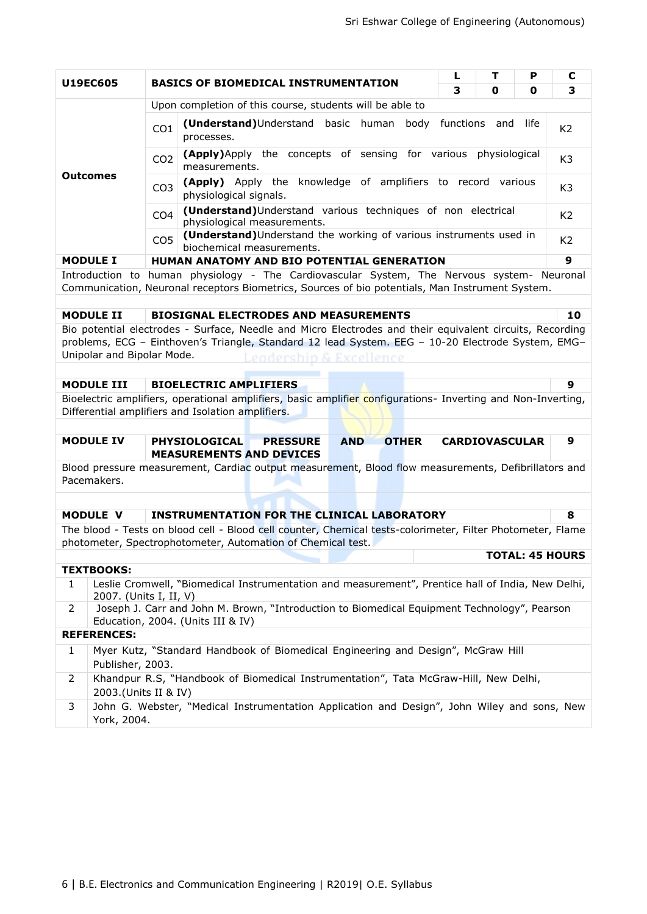|                                                                                                               |                                                                                      |                                                                                                                                                                                               | L | т                     | P    | C                      |  |
|---------------------------------------------------------------------------------------------------------------|--------------------------------------------------------------------------------------|-----------------------------------------------------------------------------------------------------------------------------------------------------------------------------------------------|---|-----------------------|------|------------------------|--|
| U19EC605                                                                                                      |                                                                                      | <b>BASICS OF BIOMEDICAL INSTRUMENTATION</b>                                                                                                                                                   | 3 | 0                     | 0    | 3                      |  |
|                                                                                                               |                                                                                      | Upon completion of this course, students will be able to                                                                                                                                      |   |                       |      |                        |  |
|                                                                                                               | CO <sub>1</sub><br>processes.                                                        | (Understand)Understand basic human body functions and                                                                                                                                         |   |                       | life | K <sub>2</sub>         |  |
|                                                                                                               | CO <sub>2</sub><br>measurements.                                                     | (Apply)Apply the concepts of sensing for various physiological                                                                                                                                |   |                       |      | K <sub>3</sub>         |  |
| <b>Outcomes</b>                                                                                               | CO <sub>3</sub><br>physiological signals.                                            | (Apply) Apply the knowledge of amplifiers to record various                                                                                                                                   |   |                       |      | K <sub>3</sub>         |  |
| (Understand)Understand various techniques of non electrical<br>CO <sub>4</sub><br>physiological measurements. |                                                                                      |                                                                                                                                                                                               |   |                       |      |                        |  |
|                                                                                                               | CO <sub>5</sub><br>biochemical measurements.                                         | (Understand) Understand the working of various instruments used in                                                                                                                            |   |                       |      | K <sub>2</sub>         |  |
| <b>MODULE I</b>                                                                                               |                                                                                      | HUMAN ANATOMY AND BIO POTENTIAL GENERATION                                                                                                                                                    |   |                       |      | 9                      |  |
|                                                                                                               |                                                                                      | Introduction to human physiology - The Cardiovascular System, The Nervous system- Neuronal<br>Communication, Neuronal receptors Biometrics, Sources of bio potentials, Man Instrument System. |   |                       |      |                        |  |
| <b>MODULE II</b>                                                                                              |                                                                                      | <b>BIOSIGNAL ELECTRODES AND MEASUREMENTS</b>                                                                                                                                                  |   |                       |      | 10                     |  |
|                                                                                                               |                                                                                      | Bio potential electrodes - Surface, Needle and Micro Electrodes and their equivalent circuits, Recording                                                                                      |   |                       |      |                        |  |
| Unipolar and Bipolar Mode.                                                                                    |                                                                                      | problems, ECG - Einthoven's Triangle, Standard 12 lead System. EEG - 10-20 Electrode System, EMG-<br>Leadershin & Excellence.                                                                 |   |                       |      |                        |  |
|                                                                                                               |                                                                                      |                                                                                                                                                                                               |   |                       |      |                        |  |
| <b>MODULE III</b>                                                                                             | <b>BIOELECTRIC AMPLIFIERS</b>                                                        |                                                                                                                                                                                               |   |                       |      | 9                      |  |
|                                                                                                               | Differential amplifiers and Isolation amplifiers.                                    | Bioelectric amplifiers, operational amplifiers, basic amplifier configurations- Inverting and Non-Inverting,                                                                                  |   |                       |      |                        |  |
| <b>MODULE IV</b>                                                                                              | <b>PHYSIOLOGICAL</b>                                                                 | <b>AND</b><br><b>PRESSURE</b><br><b>OTHER</b>                                                                                                                                                 |   | <b>CARDIOVASCULAR</b> |      | 9                      |  |
|                                                                                                               | <b>MEASUREMENTS AND DEVICES</b>                                                      | Blood pressure measurement, Cardiac output measurement, Blood flow measurements, Defibrillators and                                                                                           |   |                       |      |                        |  |
| Pacemakers.                                                                                                   |                                                                                      |                                                                                                                                                                                               |   |                       |      |                        |  |
|                                                                                                               |                                                                                      |                                                                                                                                                                                               |   |                       |      |                        |  |
| <b>MODULE V</b>                                                                                               |                                                                                      | <b>INSTRUMENTATION FOR THE CLINICAL LABORATORY</b>                                                                                                                                            |   |                       |      | 8                      |  |
|                                                                                                               |                                                                                      | The blood - Tests on blood cell - Blood cell counter, Chemical tests-colorimeter, Filter Photometer, Flame                                                                                    |   |                       |      |                        |  |
|                                                                                                               | photometer, Spectrophotometer, Automation of Chemical test.                          |                                                                                                                                                                                               |   |                       |      | <b>TOTAL: 45 HOURS</b> |  |
| <b>TEXTBOOKS:</b>                                                                                             |                                                                                      |                                                                                                                                                                                               |   |                       |      |                        |  |
| $\mathbf{1}$                                                                                                  | 2007. (Units I, II, V)                                                               | Leslie Cromwell, "Biomedical Instrumentation and measurement", Prentice hall of India, New Delhi,                                                                                             |   |                       |      |                        |  |
| $\overline{2}$                                                                                                | Education, 2004. (Units III & IV)                                                    | Joseph J. Carr and John M. Brown, "Introduction to Biomedical Equipment Technology", Pearson                                                                                                  |   |                       |      |                        |  |
| <b>REFERENCES:</b>                                                                                            |                                                                                      |                                                                                                                                                                                               |   |                       |      |                        |  |
| $\mathbf{1}$<br>Publisher, 2003.                                                                              |                                                                                      | Myer Kutz, "Standard Handbook of Biomedical Engineering and Design", McGraw Hill                                                                                                              |   |                       |      |                        |  |
| $\overline{2}$                                                                                                | Khandpur R.S, "Handbook of Biomedical Instrumentation", Tata McGraw-Hill, New Delhi, |                                                                                                                                                                                               |   |                       |      |                        |  |
| 2003.(Units II & IV)                                                                                          |                                                                                      |                                                                                                                                                                                               |   |                       |      |                        |  |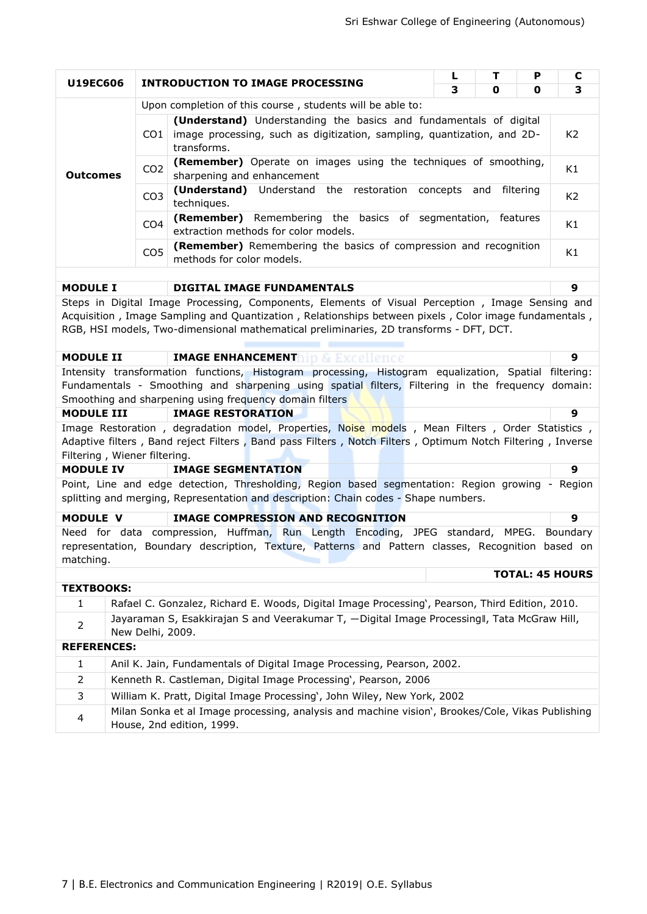|                                                                                                                  | т<br>P<br>L<br>U19EC606<br><b>INTRODUCTION TO IMAGE PROCESSING</b> |                                                                                                                                                                                                                                                                                                    |          |     |           | C                      |  |
|------------------------------------------------------------------------------------------------------------------|--------------------------------------------------------------------|----------------------------------------------------------------------------------------------------------------------------------------------------------------------------------------------------------------------------------------------------------------------------------------------------|----------|-----|-----------|------------------------|--|
|                                                                                                                  |                                                                    |                                                                                                                                                                                                                                                                                                    | 3        | 0   | 0         | 3                      |  |
|                                                                                                                  |                                                                    | Upon completion of this course, students will be able to:                                                                                                                                                                                                                                          |          |     |           |                        |  |
|                                                                                                                  | CO1.                                                               | (Understand) Understanding the basics and fundamentals of digital<br>image processing, such as digitization, sampling, quantization, and 2D-<br>transforms.                                                                                                                                        |          |     |           |                        |  |
| <b>Outcomes</b>                                                                                                  | CO <sub>2</sub>                                                    | (Remember) Operate on images using the techniques of smoothing,<br>sharpening and enhancement                                                                                                                                                                                                      |          |     |           | K1                     |  |
|                                                                                                                  | CO <sub>3</sub>                                                    | (Understand) Understand the restoration<br>techniques.                                                                                                                                                                                                                                             | concepts | and | filtering | K <sub>2</sub>         |  |
|                                                                                                                  | CO <sub>4</sub>                                                    | Remembering the basics of segmentation, features<br>(Remember)<br>extraction methods for color models.                                                                                                                                                                                             |          |     |           | K1                     |  |
| (Remember) Remembering the basics of compression and recognition<br>CO <sub>5</sub><br>methods for color models. |                                                                    |                                                                                                                                                                                                                                                                                                    |          |     |           |                        |  |
|                                                                                                                  |                                                                    |                                                                                                                                                                                                                                                                                                    |          |     |           |                        |  |
| <b>MODULE I</b>                                                                                                  |                                                                    | <b>DIGITAL IMAGE FUNDAMENTALS</b>                                                                                                                                                                                                                                                                  |          |     |           | 9                      |  |
|                                                                                                                  |                                                                    | Steps in Digital Image Processing, Components, Elements of Visual Perception, Image Sensing and<br>Acquisition, Image Sampling and Quantization, Relationships between pixels, Color image fundamentals,<br>RGB, HSI models, Two-dimensional mathematical preliminaries, 2D transforms - DFT, DCT. |          |     |           |                        |  |
| <b>IMAGE ENHANCEMENThip &amp; Excellence</b><br><b>MODULE II</b>                                                 |                                                                    |                                                                                                                                                                                                                                                                                                    |          |     |           |                        |  |
| Intensity transformation functions, Histogram processing, Histogram equalization, Spatial filtering:             |                                                                    |                                                                                                                                                                                                                                                                                                    |          |     |           |                        |  |
|                                                                                                                  |                                                                    | Fundamentals - Smoothing and sharpening using spatial filters, Filtering in the frequency domain:<br>Smoothing and sharpening using frequency domain filters                                                                                                                                       |          |     |           |                        |  |
| <b>MODULE III</b>                                                                                                |                                                                    | <b>IMAGE RESTORATION</b>                                                                                                                                                                                                                                                                           |          |     |           | 9                      |  |
|                                                                                                                  | Filtering, Wiener filtering.                                       | Image Restoration, degradation model, Properties, Noise models, Mean Filters, Order Statistics,<br>Adaptive filters, Band reject Filters, Band pass Filters, Notch Filters, Optimum Notch Filtering, Inverse                                                                                       |          |     |           |                        |  |
| <b>MODULE IV</b>                                                                                                 |                                                                    | <b>IMAGE SEGMENTATION</b>                                                                                                                                                                                                                                                                          |          |     |           | 9                      |  |
|                                                                                                                  |                                                                    | Point, Line and edge detection, Thresholding, Region based segmentation: Region growing - Region<br>splitting and merging, Representation and description: Chain codes - Shape numbers.                                                                                                            |          |     |           |                        |  |
| <b>MODULE V</b>                                                                                                  |                                                                    | <b>IMAGE COMPRESSION AND RECOGNITION</b>                                                                                                                                                                                                                                                           |          |     |           | 9                      |  |
| matching.                                                                                                        |                                                                    | Need for data compression, Huffman, Run Length Encoding, JPEG standard, MPEG. Boundary<br>representation, Boundary description, Texture, Patterns and Pattern classes, Recognition based on                                                                                                        |          |     |           | <b>TOTAL: 45 HOURS</b> |  |
| <b>TEXTBOOKS:</b>                                                                                                |                                                                    |                                                                                                                                                                                                                                                                                                    |          |     |           |                        |  |
| 1                                                                                                                |                                                                    | Rafael C. Gonzalez, Richard E. Woods, Digital Image Processing', Pearson, Third Edition, 2010.                                                                                                                                                                                                     |          |     |           |                        |  |
| $\overline{2}$                                                                                                   | New Delhi, 2009.                                                   | Jayaraman S, Esakkirajan S and Veerakumar T, -Digital Image Processingll, Tata McGraw Hill,                                                                                                                                                                                                        |          |     |           |                        |  |
| <b>REFERENCES:</b>                                                                                               |                                                                    |                                                                                                                                                                                                                                                                                                    |          |     |           |                        |  |
| 1                                                                                                                |                                                                    | Anil K. Jain, Fundamentals of Digital Image Processing, Pearson, 2002.                                                                                                                                                                                                                             |          |     |           |                        |  |
| 2                                                                                                                |                                                                    | Kenneth R. Castleman, Digital Image Processing', Pearson, 2006                                                                                                                                                                                                                                     |          |     |           |                        |  |
| 3                                                                                                                |                                                                    | William K. Pratt, Digital Image Processing', John Wiley, New York, 2002                                                                                                                                                                                                                            |          |     |           |                        |  |
| 4                                                                                                                |                                                                    | Milan Sonka et al Image processing, analysis and machine vision', Brookes/Cole, Vikas Publishing<br>House, 2nd edition, 1999.                                                                                                                                                                      |          |     |           |                        |  |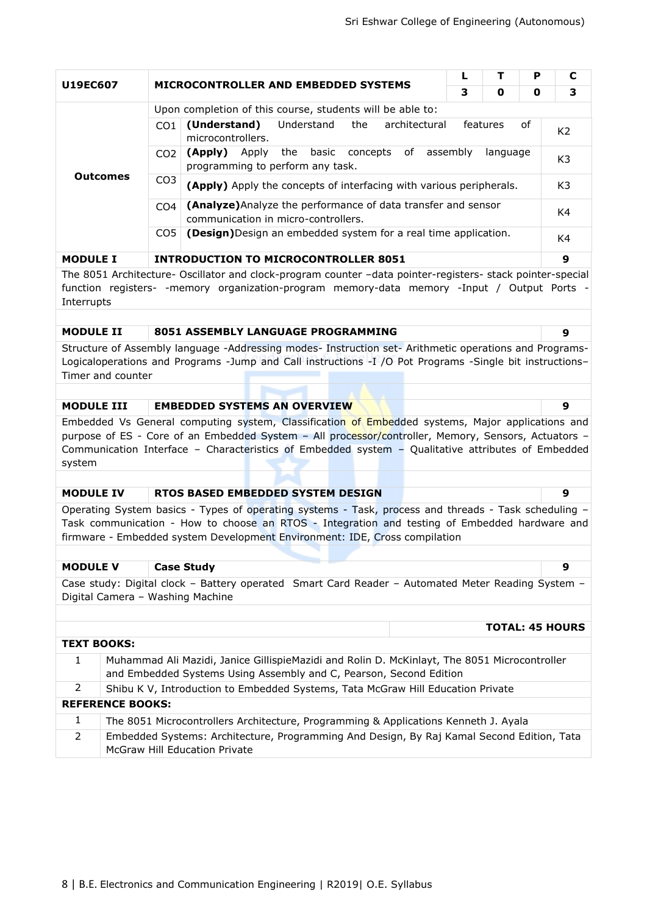| <b>U19EC607</b> |                                                                                                                                   |                                                                                                      | Р |   |   |   |  |  |  |
|-----------------|-----------------------------------------------------------------------------------------------------------------------------------|------------------------------------------------------------------------------------------------------|---|---|---|---|--|--|--|
|                 |                                                                                                                                   | MICROCONTROLLER AND EMBEDDED SYSTEMS                                                                 | з | 0 | 0 | 3 |  |  |  |
|                 |                                                                                                                                   | Upon completion of this course, students will be able to:                                            |   |   |   |   |  |  |  |
|                 | C <sub>O</sub> 1                                                                                                                  | of<br>(Understand)<br>Understand<br>the<br>architectural<br>features<br>microcontrollers.            |   |   |   |   |  |  |  |
|                 | concepts<br>of<br>assembly<br>the<br>basic<br>(Apply)<br>Apply<br>language<br>CO <sub>2</sub><br>programming to perform any task. |                                                                                                      |   |   |   |   |  |  |  |
| <b>Outcomes</b> | CO <sub>3</sub>                                                                                                                   | (Apply) Apply the concepts of interfacing with various peripherals.                                  |   |   |   |   |  |  |  |
|                 | CO <sub>4</sub>                                                                                                                   | (Analyze) Analyze the performance of data transfer and sensor<br>communication in micro-controllers. |   |   |   |   |  |  |  |
|                 | (Design) Design an embedded system for a real time application.<br>CO <sub>5</sub>                                                |                                                                                                      |   |   |   |   |  |  |  |
| <b>MODULE I</b> |                                                                                                                                   | <b>INTRODUCTION TO MICROCONTROLLER 8051</b>                                                          |   |   |   | 9 |  |  |  |

The 8051 Architecture- Oscillator and clock-program counter –data pointer-registers- stack pointer-special function registers- -memory organization-program memory-data memory -Input / Output Ports - Interrupts

### **MODULE II 8051 ASSEMBLY LANGUAGE PROGRAMMING 9**

Structure of Assembly language -Addressing modes- Instruction set- Arithmetic operations and Programs-Logicaloperations and Programs -Jump and Call instructions -I /O Pot Programs -Single bit instructions– Timer and counter

### **MODULE III EMBEDDED SYSTEMS AN OVERVIEW 9**

Embedded Vs General computing system, Classification of Embedded systems, Major applications and purpose of ES - Core of an Embedded System – All processor/controller, Memory, Sensors, Actuators – Communication Interface – Characteristics of Embedded system – Qualitative attributes of Embedded system

### **MODULE IV RTOS BASED EMBEDDED SYSTEM DESIGN 9**

Operating System basics - Types of operating systems - Task, process and threads - Task scheduling – Task communication - How to choose an RTOS - Integration and testing of Embedded hardware and firmware - Embedded system Development Environment: IDE, Cross compilation

#### **MODULE V Case Study 9**

Case study: Digital clock – Battery operated Smart Card Reader – Automated Meter Reading System – Digital Camera – Washing Machine

|                    |                                                                                                                                                                    | <b>TOTAL: 45 HOURS</b> |
|--------------------|--------------------------------------------------------------------------------------------------------------------------------------------------------------------|------------------------|
| <b>TEXT BOOKS:</b> |                                                                                                                                                                    |                        |
| $\mathbf{1}$       | Muhammad Ali Mazidi, Janice GillispieMazidi and Rolin D. McKinlayt, The 8051 Microcontroller<br>and Embedded Systems Using Assembly and C, Pearson, Second Edition |                        |
| 2                  | Shibu K V, Introduction to Embedded Systems, Tata McGraw Hill Education Private                                                                                    |                        |
|                    | <b>REFERENCE BOOKS:</b>                                                                                                                                            |                        |
| 1                  | The 8051 Microcontrollers Architecture, Programming & Applications Kenneth J. Ayala                                                                                |                        |
| 2                  | Embedded Systems: Architecture, Programming And Design, By Raj Kamal Second Edition, Tata<br><b>McGraw Hill Education Private</b>                                  |                        |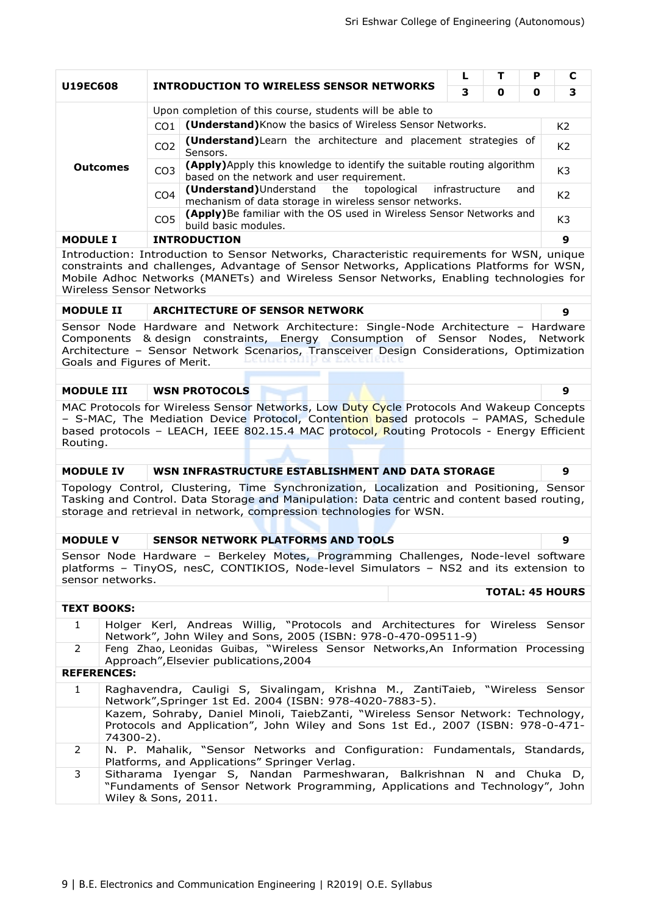| <b>U19EC608</b>                                                                                                                                                                                                                                                                                                      |                                                                                                                                                                                                                                                                                               |                 | <b>INTRODUCTION TO WIRELESS SENSOR NETWORKS</b>                                                                                                                                                                                                                | L              | т | Р              | С                      |  |
|----------------------------------------------------------------------------------------------------------------------------------------------------------------------------------------------------------------------------------------------------------------------------------------------------------------------|-----------------------------------------------------------------------------------------------------------------------------------------------------------------------------------------------------------------------------------------------------------------------------------------------|-----------------|----------------------------------------------------------------------------------------------------------------------------------------------------------------------------------------------------------------------------------------------------------------|----------------|---|----------------|------------------------|--|
|                                                                                                                                                                                                                                                                                                                      |                                                                                                                                                                                                                                                                                               |                 |                                                                                                                                                                                                                                                                | 3              | 0 | 0              | 3                      |  |
|                                                                                                                                                                                                                                                                                                                      |                                                                                                                                                                                                                                                                                               |                 | Upon completion of this course, students will be able to                                                                                                                                                                                                       |                |   |                |                        |  |
|                                                                                                                                                                                                                                                                                                                      |                                                                                                                                                                                                                                                                                               | CO <sub>1</sub> | (Understand) Know the basics of Wireless Sensor Networks.                                                                                                                                                                                                      |                |   |                | K <sub>2</sub>         |  |
|                                                                                                                                                                                                                                                                                                                      |                                                                                                                                                                                                                                                                                               | CO <sub>2</sub> | (Understand) Learn the architecture and placement strategies of<br>Sensors.                                                                                                                                                                                    |                |   |                | K <sub>2</sub>         |  |
|                                                                                                                                                                                                                                                                                                                      | <b>Outcomes</b>                                                                                                                                                                                                                                                                               | CO <sub>3</sub> | (Apply) Apply this knowledge to identify the suitable routing algorithm<br>based on the network and user requirement.                                                                                                                                          |                |   |                | K <sub>3</sub>         |  |
|                                                                                                                                                                                                                                                                                                                      |                                                                                                                                                                                                                                                                                               | CO <sub>4</sub> | (Understand) Understand<br>the<br>topological<br>mechanism of data storage in wireless sensor networks.                                                                                                                                                        | infrastructure |   | and            | K <sub>2</sub>         |  |
| (Apply)Be familiar with the OS used in Wireless Sensor Networks and<br>CO <sub>5</sub><br>build basic modules.                                                                                                                                                                                                       |                                                                                                                                                                                                                                                                                               |                 |                                                                                                                                                                                                                                                                |                |   | K <sub>3</sub> |                        |  |
|                                                                                                                                                                                                                                                                                                                      | <b>INTRODUCTION</b><br><b>MODULE I</b>                                                                                                                                                                                                                                                        |                 |                                                                                                                                                                                                                                                                |                |   | 9              |                        |  |
| Introduction: Introduction to Sensor Networks, Characteristic requirements for WSN, unique<br>constraints and challenges, Advantage of Sensor Networks, Applications Platforms for WSN,<br>Mobile Adhoc Networks (MANETs) and Wireless Sensor Networks, Enabling technologies for<br><b>Wireless Sensor Networks</b> |                                                                                                                                                                                                                                                                                               |                 |                                                                                                                                                                                                                                                                |                |   |                |                        |  |
| <b>MODULE II</b>                                                                                                                                                                                                                                                                                                     |                                                                                                                                                                                                                                                                                               |                 | <b>ARCHITECTURE OF SENSOR NETWORK</b>                                                                                                                                                                                                                          |                |   |                | 9                      |  |
|                                                                                                                                                                                                                                                                                                                      | Sensor Node Hardware and Network Architecture: Single-Node Architecture - Hardware<br>Components & design constraints, Energy Consumption of Sensor Nodes, Network<br>Architecture - Sensor Network Scenarios, Transceiver Design Considerations, Optimization<br>Goals and Figures of Merit. |                 |                                                                                                                                                                                                                                                                |                |   |                |                        |  |
| <b>MODULE III</b><br><b>WSN PROTOCOLS</b>                                                                                                                                                                                                                                                                            |                                                                                                                                                                                                                                                                                               |                 |                                                                                                                                                                                                                                                                |                |   | 9              |                        |  |
| MAC Protocols for Wireless Sensor Networks, Low Duty Cycle Protocols And Wakeup Concepts<br>- S-MAC, The Mediation Device Protocol, Contention based protocols - PAMAS, Schedule<br>based protocols - LEACH, IEEE 802.15.4 MAC protocol, Routing Protocols - Energy Efficient<br>Routing.                            |                                                                                                                                                                                                                                                                                               |                 |                                                                                                                                                                                                                                                                |                |   |                |                        |  |
|                                                                                                                                                                                                                                                                                                                      |                                                                                                                                                                                                                                                                                               |                 |                                                                                                                                                                                                                                                                |                |   |                |                        |  |
| <b>MODULE IV</b>                                                                                                                                                                                                                                                                                                     |                                                                                                                                                                                                                                                                                               |                 | WSN INFRASTRUCTURE ESTABLISHMENT AND DATA STORAGE                                                                                                                                                                                                              |                |   |                | 9                      |  |
|                                                                                                                                                                                                                                                                                                                      |                                                                                                                                                                                                                                                                                               |                 | Topology Control, Clustering, Time Synchronization, Localization and Positioning, Sensor<br>Tasking and Control. Data Storage and Manipulation: Data centric and content based routing,<br>storage and retrieval in network, compression technologies for WSN. |                |   |                |                        |  |
|                                                                                                                                                                                                                                                                                                                      |                                                                                                                                                                                                                                                                                               |                 |                                                                                                                                                                                                                                                                |                |   |                |                        |  |
| <b>MODULE V</b>                                                                                                                                                                                                                                                                                                      |                                                                                                                                                                                                                                                                                               |                 | <b>SENSOR NETWORK PLATFORMS AND TOOLS</b>                                                                                                                                                                                                                      |                |   |                | 9                      |  |
|                                                                                                                                                                                                                                                                                                                      | sensor networks.                                                                                                                                                                                                                                                                              |                 | Sensor Node Hardware - Berkeley Motes, Programming Challenges, Node-level software<br>platforms - TinyOS, nesC, CONTIKIOS, Node-level Simulators - NS2 and its extension to                                                                                    |                |   |                |                        |  |
|                                                                                                                                                                                                                                                                                                                      |                                                                                                                                                                                                                                                                                               |                 |                                                                                                                                                                                                                                                                |                |   |                | <b>TOTAL: 45 HOURS</b> |  |
| <b>TEXT BOOKS:</b>                                                                                                                                                                                                                                                                                                   |                                                                                                                                                                                                                                                                                               |                 |                                                                                                                                                                                                                                                                |                |   |                |                        |  |
| $\mathbf{1}$                                                                                                                                                                                                                                                                                                         |                                                                                                                                                                                                                                                                                               |                 | Holger Kerl, Andreas Willig, "Protocols and Architectures for Wireless Sensor<br>Network", John Wiley and Sons, 2005 (ISBN: 978-0-470-09511-9)                                                                                                                 |                |   |                |                        |  |
| 2                                                                                                                                                                                                                                                                                                                    |                                                                                                                                                                                                                                                                                               |                 | Feng Zhao, Leonidas Guibas, "Wireless Sensor Networks, An Information Processing<br>Approach", Elsevier publications, 2004                                                                                                                                     |                |   |                |                        |  |
|                                                                                                                                                                                                                                                                                                                      | <b>REFERENCES:</b>                                                                                                                                                                                                                                                                            |                 |                                                                                                                                                                                                                                                                |                |   |                |                        |  |
| $\mathbf{1}$                                                                                                                                                                                                                                                                                                         |                                                                                                                                                                                                                                                                                               |                 | Raghavendra, Cauligi S, Sivalingam, Krishna M., ZantiTaieb, "Wireless Sensor<br>Network", Springer 1st Ed. 2004 (ISBN: 978-4020-7883-5).                                                                                                                       |                |   |                |                        |  |

- Kazem, Sohraby, Daniel Minoli, TaiebZanti, "Wireless Sensor Network: Technology, Protocols and Application", John Wiley and Sons 1st Ed., 2007 (ISBN: 978-0-471- 74300-2).
- 2 N. P. Mahalik, "Sensor Networks and Configuration: Fundamentals, Standards, Platforms, and Applications" Springer Verlag.
- 3 Sitharama Iyengar S, Nandan Parmeshwaran, Balkrishnan N and Chuka D, "Fundaments of Sensor Network Programming, Applications and Technology", John Wiley & Sons, 2011.